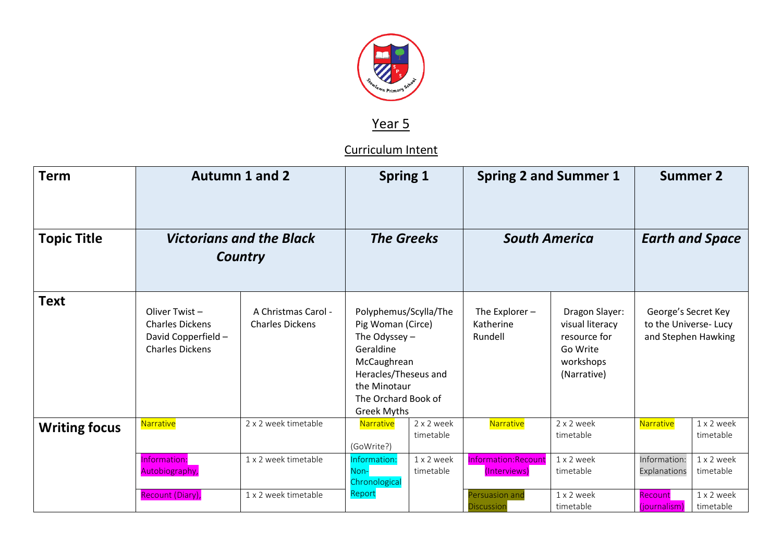

## Year 5

## Curriculum Intent

| <b>Term</b>          | <b>Autumn 1 and 2</b>                                                                    |                                               | <b>Spring 1</b>                                                                                                                                                                |                         | <b>Spring 2 and Summer 1</b>             |                                                                                           |                                                                    | <b>Summer 2</b>         |
|----------------------|------------------------------------------------------------------------------------------|-----------------------------------------------|--------------------------------------------------------------------------------------------------------------------------------------------------------------------------------|-------------------------|------------------------------------------|-------------------------------------------------------------------------------------------|--------------------------------------------------------------------|-------------------------|
| <b>Topic Title</b>   | <b>Victorians and the Black</b><br><b>Country</b>                                        |                                               | <b>The Greeks</b>                                                                                                                                                              |                         | <b>South America</b>                     |                                                                                           |                                                                    | <b>Earth and Space</b>  |
| <b>Text</b>          | Oliver Twist-<br><b>Charles Dickens</b><br>David Copperfield -<br><b>Charles Dickens</b> | A Christmas Carol -<br><b>Charles Dickens</b> | Polyphemus/Scylla/The<br>Pig Woman (Circe)<br>The Odyssey $-$<br>Geraldine<br>McCaughrean<br>Heracles/Theseus and<br>the Minotaur<br>The Orchard Book of<br><b>Greek Myths</b> |                         | The Explorer $-$<br>Katherine<br>Rundell | Dragon Slayer:<br>visual literacy<br>resource for<br>Go Write<br>workshops<br>(Narrative) | George's Secret Key<br>to the Universe-Lucy<br>and Stephen Hawking |                         |
| <b>Writing focus</b> | Narrative                                                                                | 2 x 2 week timetable                          | Narrative<br>(GoWrite?)                                                                                                                                                        | 2 x 2 week<br>timetable | Narrative                                | 2 x 2 week<br>timetable                                                                   | Narrative                                                          | 1 x 2 week<br>timetable |
|                      | Information:<br>Autobiography,                                                           | 1 x 2 week timetable                          | Information:<br>Non-<br>Chronological                                                                                                                                          | 1 x 2 week<br>timetable | Information: Recount<br>(Interviews)     | 1 x 2 week<br>timetable                                                                   | Information:<br>Explanations                                       | 1 x 2 week<br>timetable |
|                      | Recount (Diary),                                                                         | 1 x 2 week timetable                          | Report                                                                                                                                                                         |                         | Persuasion and<br><b>Discussion</b>      | 1 x 2 week<br>timetable                                                                   | Recount<br>(journalism)                                            | 1 x 2 week<br>timetable |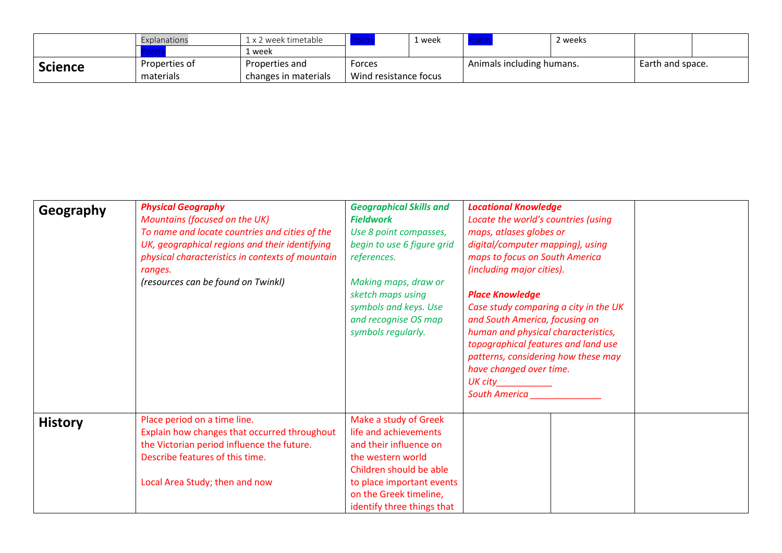|                | Explanations  | 2 week timetable     |                       | ı week |                           | 2 weeks |                  |  |
|----------------|---------------|----------------------|-----------------------|--------|---------------------------|---------|------------------|--|
|                |               | 1 week               |                       |        |                           |         |                  |  |
| <b>Science</b> | Properties of | Properties and       | Forces                |        | Animals including humans. |         | Earth and space. |  |
|                | materials     | changes in materials | Wind resistance focus |        |                           |         |                  |  |

| Geography      | <b>Physical Geography</b><br>Mountains (focused on the UK)<br>To name and locate countries and cities of the<br>UK, geographical regions and their identifying<br>physical characteristics in contexts of mountain<br>ranges.<br>(resources can be found on Twinkl) | <b>Geographical Skills and</b><br><b>Fieldwork</b><br>Use 8 point compasses,<br>begin to use 6 figure grid<br>references.<br>Making maps, draw or<br>sketch maps using<br>symbols and keys. Use<br>and recognise OS map<br>symbols regularly. | <b>Locational Knowledge</b><br>Locate the world's countries (using<br>maps, atlases globes or<br>digital/computer mapping), using<br>maps to focus on South America<br>(including major cities).<br><b>Place Knowledge</b><br>Case study comparing a city in the UK<br>and South America, focusing on<br>human and physical characteristics,<br>topographical features and land use<br>patterns, considering how these may<br>have changed over time.<br>$UK$ $City$ $\qquad \qquad \qquad \qquad$<br><b>South America</b> |  |
|----------------|---------------------------------------------------------------------------------------------------------------------------------------------------------------------------------------------------------------------------------------------------------------------|-----------------------------------------------------------------------------------------------------------------------------------------------------------------------------------------------------------------------------------------------|----------------------------------------------------------------------------------------------------------------------------------------------------------------------------------------------------------------------------------------------------------------------------------------------------------------------------------------------------------------------------------------------------------------------------------------------------------------------------------------------------------------------------|--|
| <b>History</b> | Place period on a time line.<br>Explain how changes that occurred throughout<br>the Victorian period influence the future.<br>Describe features of this time.<br>Local Area Study; then and now                                                                     | Make a study of Greek<br>life and achievements<br>and their influence on<br>the western world<br>Children should be able<br>to place important events<br>on the Greek timeline,<br>identify three things that                                 |                                                                                                                                                                                                                                                                                                                                                                                                                                                                                                                            |  |